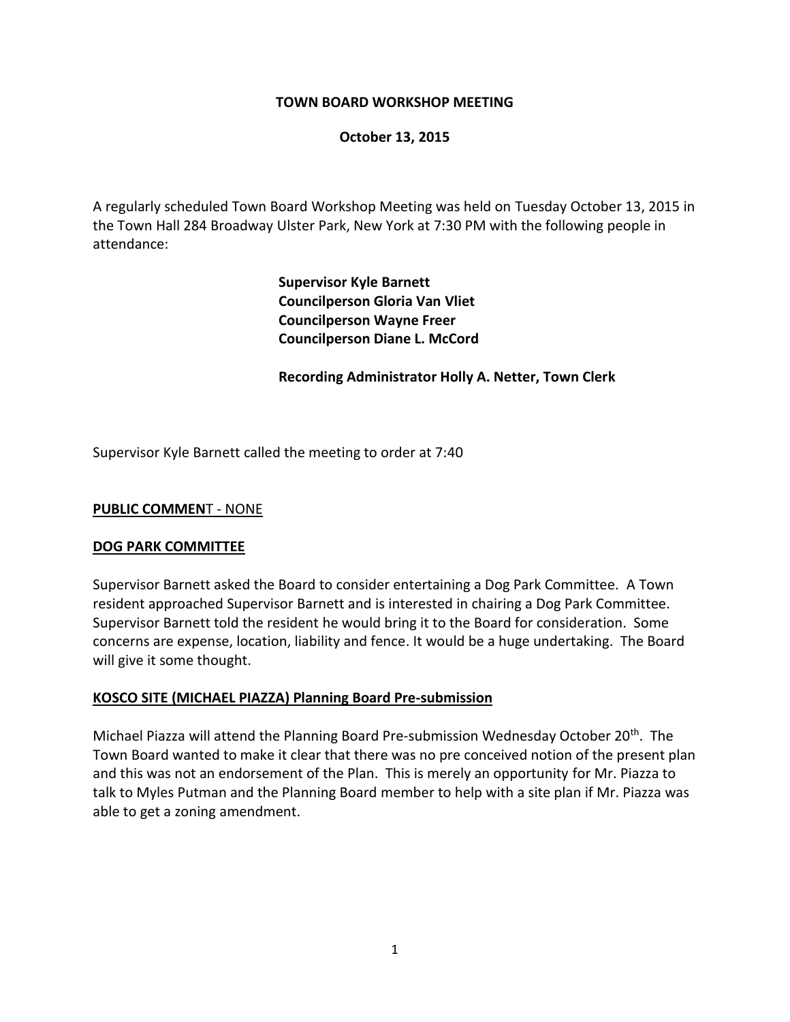## **TOWN BOARD WORKSHOP MEETING**

### **October 13, 2015**

A regularly scheduled Town Board Workshop Meeting was held on Tuesday October 13, 2015 in the Town Hall 284 Broadway Ulster Park, New York at 7:30 PM with the following people in attendance:

> **Supervisor Kyle Barnett Councilperson Gloria Van Vliet Councilperson Wayne Freer Councilperson Diane L. McCord**

**Recording Administrator Holly A. Netter, Town Clerk**

Supervisor Kyle Barnett called the meeting to order at 7:40

### **PUBLIC COMMEN**T - NONE

### **DOG PARK COMMITTEE**

Supervisor Barnett asked the Board to consider entertaining a Dog Park Committee. A Town resident approached Supervisor Barnett and is interested in chairing a Dog Park Committee. Supervisor Barnett told the resident he would bring it to the Board for consideration. Some concerns are expense, location, liability and fence. It would be a huge undertaking. The Board will give it some thought.

### **KOSCO SITE (MICHAEL PIAZZA) Planning Board Pre-submission**

Michael Piazza will attend the Planning Board Pre-submission Wednesday October 20th. The Town Board wanted to make it clear that there was no pre conceived notion of the present plan and this was not an endorsement of the Plan. This is merely an opportunity for Mr. Piazza to talk to Myles Putman and the Planning Board member to help with a site plan if Mr. Piazza was able to get a zoning amendment.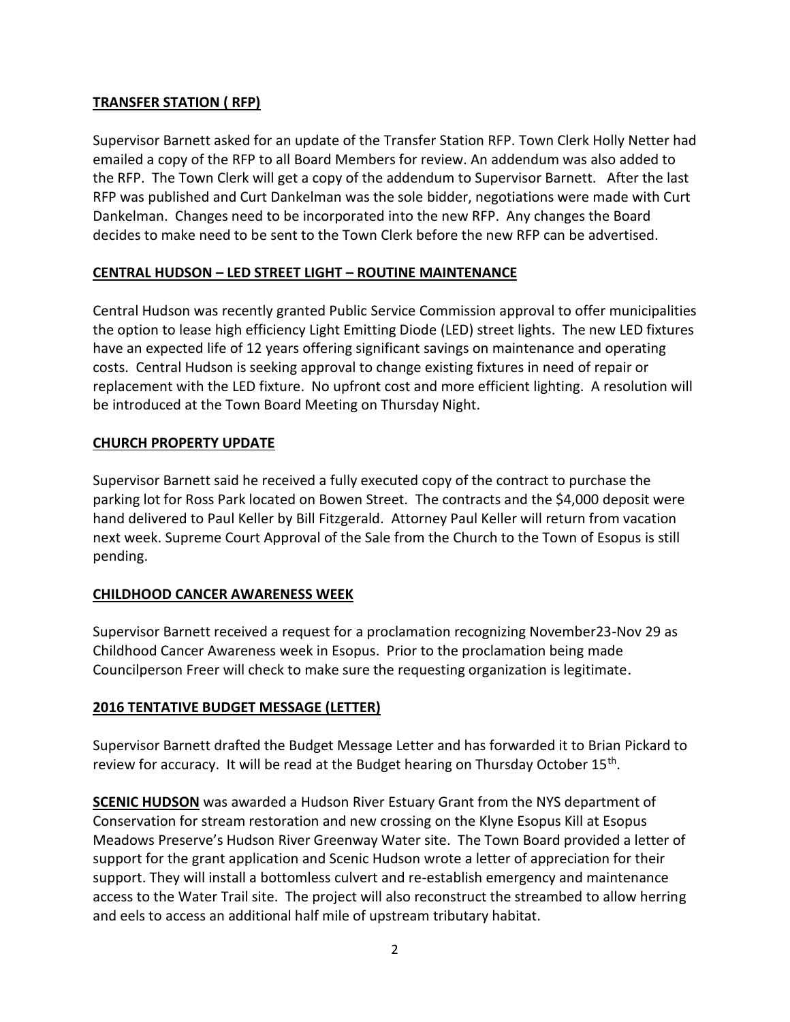# **TRANSFER STATION ( RFP)**

Supervisor Barnett asked for an update of the Transfer Station RFP. Town Clerk Holly Netter had emailed a copy of the RFP to all Board Members for review. An addendum was also added to the RFP. The Town Clerk will get a copy of the addendum to Supervisor Barnett. After the last RFP was published and Curt Dankelman was the sole bidder, negotiations were made with Curt Dankelman. Changes need to be incorporated into the new RFP. Any changes the Board decides to make need to be sent to the Town Clerk before the new RFP can be advertised.

# **CENTRAL HUDSON – LED STREET LIGHT – ROUTINE MAINTENANCE**

Central Hudson was recently granted Public Service Commission approval to offer municipalities the option to lease high efficiency Light Emitting Diode (LED) street lights. The new LED fixtures have an expected life of 12 years offering significant savings on maintenance and operating costs. Central Hudson is seeking approval to change existing fixtures in need of repair or replacement with the LED fixture. No upfront cost and more efficient lighting. A resolution will be introduced at the Town Board Meeting on Thursday Night.

# **CHURCH PROPERTY UPDATE**

Supervisor Barnett said he received a fully executed copy of the contract to purchase the parking lot for Ross Park located on Bowen Street. The contracts and the \$4,000 deposit were hand delivered to Paul Keller by Bill Fitzgerald. Attorney Paul Keller will return from vacation next week. Supreme Court Approval of the Sale from the Church to the Town of Esopus is still pending.

# **CHILDHOOD CANCER AWARENESS WEEK**

Supervisor Barnett received a request for a proclamation recognizing November23-Nov 29 as Childhood Cancer Awareness week in Esopus. Prior to the proclamation being made Councilperson Freer will check to make sure the requesting organization is legitimate.

# **2016 TENTATIVE BUDGET MESSAGE (LETTER)**

Supervisor Barnett drafted the Budget Message Letter and has forwarded it to Brian Pickard to review for accuracy. It will be read at the Budget hearing on Thursday October 15<sup>th</sup>.

**SCENIC HUDSON** was awarded a Hudson River Estuary Grant from the NYS department of Conservation for stream restoration and new crossing on the Klyne Esopus Kill at Esopus Meadows Preserve's Hudson River Greenway Water site. The Town Board provided a letter of support for the grant application and Scenic Hudson wrote a letter of appreciation for their support. They will install a bottomless culvert and re-establish emergency and maintenance access to the Water Trail site. The project will also reconstruct the streambed to allow herring and eels to access an additional half mile of upstream tributary habitat.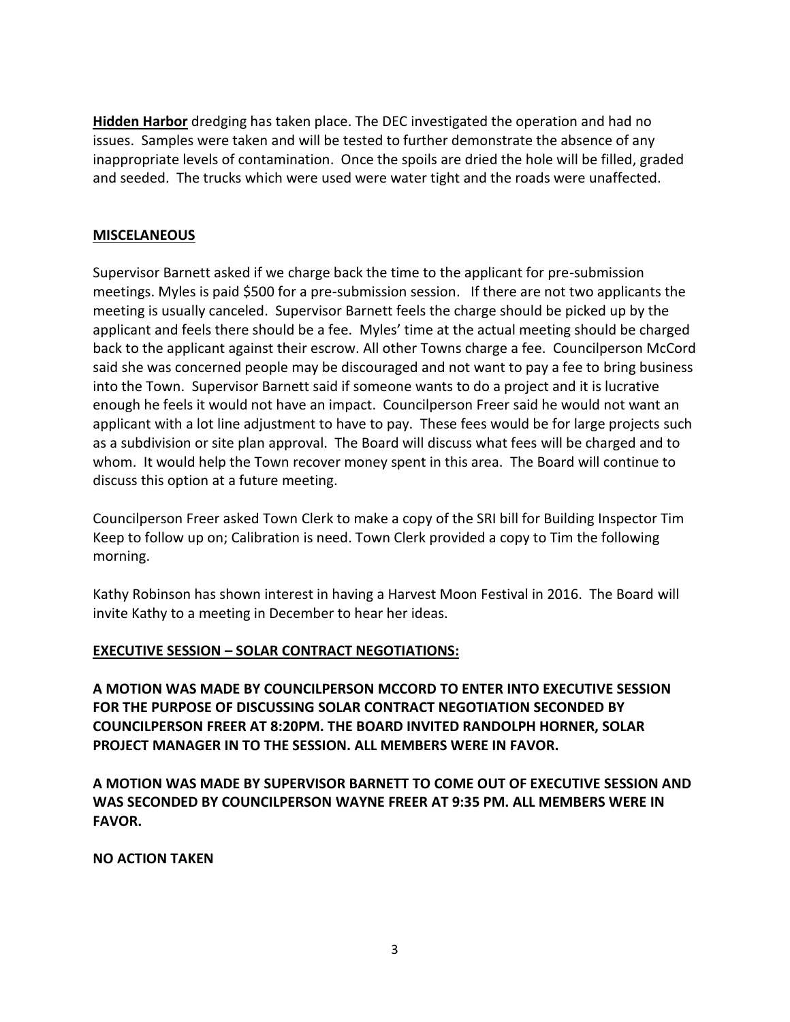**Hidden Harbor** dredging has taken place. The DEC investigated the operation and had no issues. Samples were taken and will be tested to further demonstrate the absence of any inappropriate levels of contamination. Once the spoils are dried the hole will be filled, graded and seeded. The trucks which were used were water tight and the roads were unaffected.

## **MISCELANEOUS**

Supervisor Barnett asked if we charge back the time to the applicant for pre-submission meetings. Myles is paid \$500 for a pre-submission session. If there are not two applicants the meeting is usually canceled. Supervisor Barnett feels the charge should be picked up by the applicant and feels there should be a fee. Myles' time at the actual meeting should be charged back to the applicant against their escrow. All other Towns charge a fee. Councilperson McCord said she was concerned people may be discouraged and not want to pay a fee to bring business into the Town. Supervisor Barnett said if someone wants to do a project and it is lucrative enough he feels it would not have an impact. Councilperson Freer said he would not want an applicant with a lot line adjustment to have to pay. These fees would be for large projects such as a subdivision or site plan approval. The Board will discuss what fees will be charged and to whom. It would help the Town recover money spent in this area. The Board will continue to discuss this option at a future meeting.

Councilperson Freer asked Town Clerk to make a copy of the SRI bill for Building Inspector Tim Keep to follow up on; Calibration is need. Town Clerk provided a copy to Tim the following morning.

Kathy Robinson has shown interest in having a Harvest Moon Festival in 2016. The Board will invite Kathy to a meeting in December to hear her ideas.

## **EXECUTIVE SESSION – SOLAR CONTRACT NEGOTIATIONS:**

**A MOTION WAS MADE BY COUNCILPERSON MCCORD TO ENTER INTO EXECUTIVE SESSION FOR THE PURPOSE OF DISCUSSING SOLAR CONTRACT NEGOTIATION SECONDED BY COUNCILPERSON FREER AT 8:20PM. THE BOARD INVITED RANDOLPH HORNER, SOLAR PROJECT MANAGER IN TO THE SESSION. ALL MEMBERS WERE IN FAVOR.**

**A MOTION WAS MADE BY SUPERVISOR BARNETT TO COME OUT OF EXECUTIVE SESSION AND WAS SECONDED BY COUNCILPERSON WAYNE FREER AT 9:35 PM. ALL MEMBERS WERE IN FAVOR.**

### **NO ACTION TAKEN**